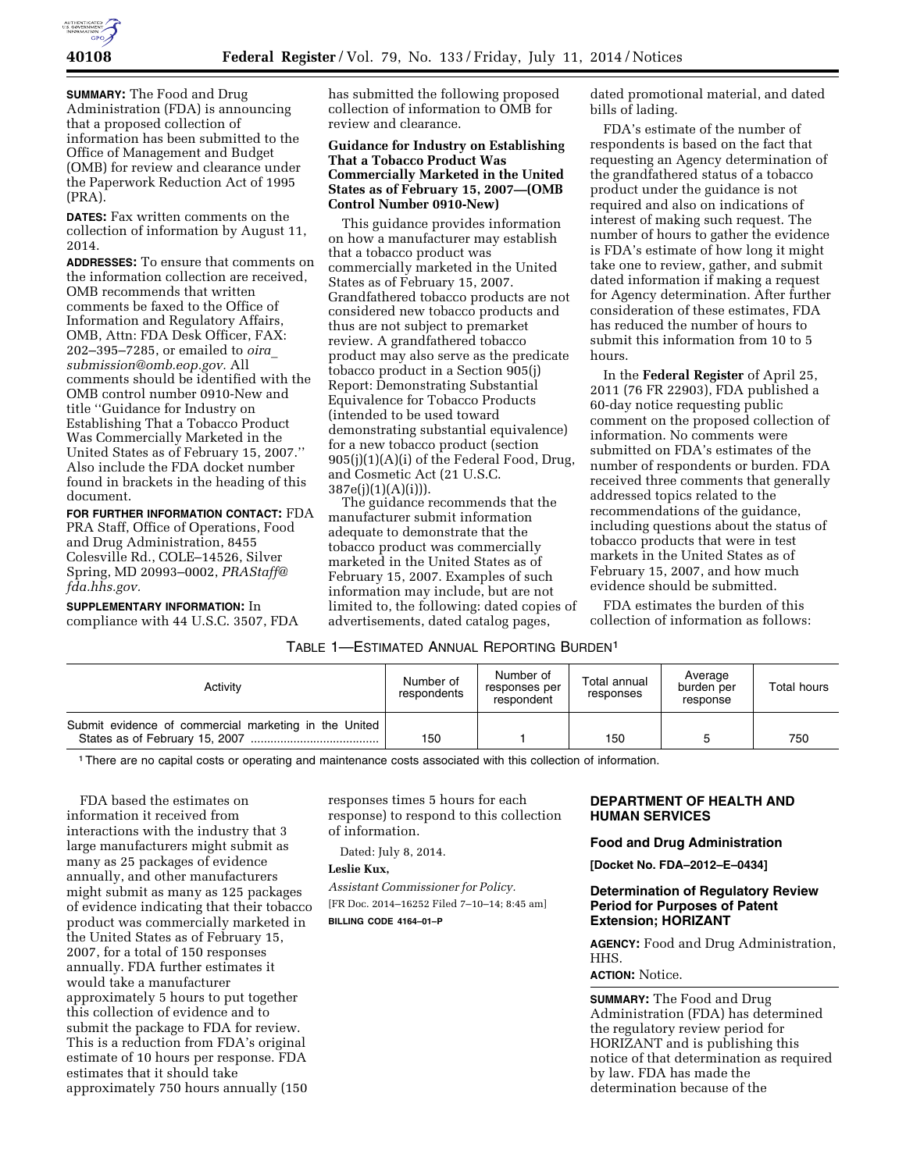

**SUMMARY:** The Food and Drug Administration (FDA) is announcing that a proposed collection of information has been submitted to the Office of Management and Budget (OMB) for review and clearance under the Paperwork Reduction Act of 1995 (PRA).

**DATES:** Fax written comments on the collection of information by August 11, 2014.

**ADDRESSES:** To ensure that comments on the information collection are received, OMB recommends that written comments be faxed to the Office of Information and Regulatory Affairs, OMB, Attn: FDA Desk Officer, FAX: 202–395–7285, or emailed to *[oira](mailto:oira_submission@omb.eop.gov)*\_ *[submission@omb.eop.gov.](mailto:oira_submission@omb.eop.gov)* All comments should be identified with the OMB control number 0910-New and title ''Guidance for Industry on Establishing That a Tobacco Product Was Commercially Marketed in the United States as of February 15, 2007.'' Also include the FDA docket number found in brackets in the heading of this document.

**FOR FURTHER INFORMATION CONTACT:** FDA PRA Staff, Office of Operations, Food and Drug Administration, 8455 Colesville Rd., COLE–14526, Silver Spring, MD 20993–0002, *[PRAStaff@](mailto:PRAStaff@fda.hhs.gov) [fda.hhs.gov.](mailto:PRAStaff@fda.hhs.gov)* 

**SUPPLEMENTARY INFORMATION:** In compliance with 44 U.S.C. 3507, FDA has submitted the following proposed collection of information to OMB for review and clearance.

## **Guidance for Industry on Establishing That a Tobacco Product Was Commercially Marketed in the United States as of February 15, 2007—(OMB Control Number 0910-New)**

This guidance provides information on how a manufacturer may establish that a tobacco product was commercially marketed in the United States as of February 15, 2007. Grandfathered tobacco products are not considered new tobacco products and thus are not subject to premarket review. A grandfathered tobacco product may also serve as the predicate tobacco product in a Section 905(j) Report: Demonstrating Substantial Equivalence for Tobacco Products (intended to be used toward demonstrating substantial equivalence) for a new tobacco product (section 905(j)(1)(A)(i) of the Federal Food, Drug, and Cosmetic Act (21 U.S.C.  $387e(i)(1)(A)(i))$ ).

The guidance recommends that the manufacturer submit information adequate to demonstrate that the tobacco product was commercially marketed in the United States as of February 15, 2007. Examples of such information may include, but are not limited to, the following: dated copies of advertisements, dated catalog pages,

dated promotional material, and dated bills of lading.

FDA's estimate of the number of respondents is based on the fact that requesting an Agency determination of the grandfathered status of a tobacco product under the guidance is not required and also on indications of interest of making such request. The number of hours to gather the evidence is FDA's estimate of how long it might take one to review, gather, and submit dated information if making a request for Agency determination. After further consideration of these estimates, FDA has reduced the number of hours to submit this information from 10 to 5 hours.

In the **Federal Register** of April 25, 2011 (76 FR 22903), FDA published a 60-day notice requesting public comment on the proposed collection of information. No comments were submitted on FDA's estimates of the number of respondents or burden. FDA received three comments that generally addressed topics related to the recommendations of the guidance, including questions about the status of tobacco products that were in test markets in the United States as of February 15, 2007, and how much evidence should be submitted.

FDA estimates the burden of this collection of information as follows:

# TABLE 1—ESTIMATED ANNUAL REPORTING BURDEN1

| Activity                                              | Number of<br>respondents | Number of<br>responses per<br>respondent | Total annual<br>responses | Average<br>burden per<br>response | Total hours |
|-------------------------------------------------------|--------------------------|------------------------------------------|---------------------------|-----------------------------------|-------------|
| Submit evidence of commercial marketing in the United | 150                      |                                          | 150                       |                                   | 750         |

1There are no capital costs or operating and maintenance costs associated with this collection of information.

FDA based the estimates on information it received from interactions with the industry that 3 large manufacturers might submit as many as 25 packages of evidence annually, and other manufacturers might submit as many as 125 packages of evidence indicating that their tobacco product was commercially marketed in the United States as of February 15, 2007, for a total of 150 responses annually. FDA further estimates it would take a manufacturer approximately 5 hours to put together this collection of evidence and to submit the package to FDA for review. This is a reduction from FDA's original estimate of 10 hours per response. FDA estimates that it should take approximately 750 hours annually (150

responses times 5 hours for each response) to respond to this collection of information.

Dated: July 8, 2014.

#### **Leslie Kux,**

*Assistant Commissioner for Policy.* 

[FR Doc. 2014–16252 Filed 7–10–14; 8:45 am] **BILLING CODE 4164–01–P** 

### **DEPARTMENT OF HEALTH AND HUMAN SERVICES**

### **Food and Drug Administration**

**[Docket No. FDA–2012–E–0434]** 

### **Determination of Regulatory Review Period for Purposes of Patent Extension; HORIZANT**

**AGENCY:** Food and Drug Administration, HHS.

# **ACTION:** Notice.

**SUMMARY:** The Food and Drug Administration (FDA) has determined the regulatory review period for HORIZANT and is publishing this notice of that determination as required by law. FDA has made the determination because of the